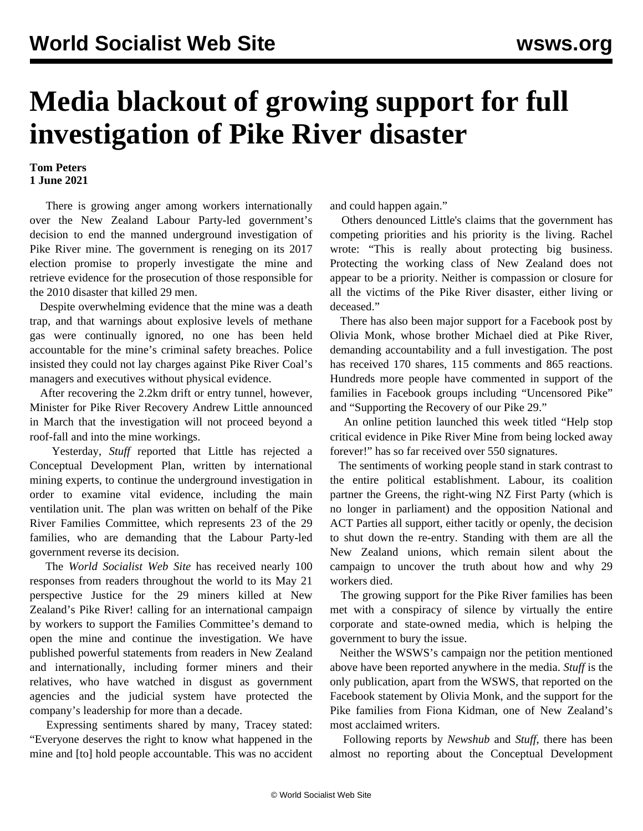## **Media blackout of growing support for full investigation of Pike River disaster**

## **Tom Peters 1 June 2021**

 There is growing anger among workers internationally over the New Zealand Labour Party-led government's decision to end the manned underground investigation of Pike River mine. The government is reneging on its 2017 election promise to properly investigate the mine and retrieve evidence for the prosecution of those responsible for the 2010 disaster that killed 29 men.

 Despite overwhelming evidence that the mine was a death trap, and that warnings about explosive levels of methane gas were continually ignored, no one has been held accountable for the mine's criminal safety breaches. Police insisted they could not lay charges against Pike River Coal's managers and executives without physical evidence.

 After recovering the 2.2km drift or entry tunnel, however, Minister for Pike River Recovery Andrew Little announced in March that the investigation will not proceed beyond a roof-fall and into the mine workings.

 Yesterday, *Stuff* reported that Little has rejected a Conceptual Development Plan, written by international mining experts, to continue the underground investigation in order to examine vital evidence, including the main ventilation unit. The [plan](/en/articles/2021/05/15/pike-m15.html) was written on behalf of the Pike River Families Committee, which represents 23 of the 29 families, who are demanding that the Labour Party-led government reverse its decision.

 The *World Socialist Web Site* has received nearly 100 responses from readers throughout the world to its May 21 perspective [Justice for the 29 miners killed at New](/en/articles/2021/05/22/pike-m22.html) [Zealand's Pike River!](/en/articles/2021/05/22/pike-m22.html) calling for an international campaign by workers to support the Families Committee's demand to open the mine and continue the investigation[.](/en/articles/2021/05/22/pike-m22.html) We have published powerful statements from readers in New Zealand and internationally, [including](/en/articles/2021/05/22/pike-m22.html) [former miners and their](/en/articles/2021/05/26/prss-m26.html) [relatives,](/en/articles/2021/05/26/prss-m26.html) who have watched in disgust as government agencies and the judicial system have protected the company's leadership for more than a decade.

 Expressing sentiments shared by many, Tracey [stated:](/en/articles/2021/05/25/prss-m25.html) "Everyone deserves the right to know what happened in the mine and [to] hold people accountable. This was no accident and could happen again."

 Others denounced Little's claims that the government has competing priorities and his priority is the living. Rachel [wrote](/en/articles/2021/05/29/mine-m29.html): "This is really about protecting big business. Protecting the working class of New Zealand does not appear to be a priority. Neither is compassion or closure for all the victims of the Pike River disaster, either living or deceased."

 There has also been major support for a Facebook [post](/en/articles/2021/05/24/oliv-m24.html) by Olivia Monk, whose brother Michael died at Pike River, demanding accountability and a full investigation. The post has received 170 shares, 115 comments and 865 reactions. Hundreds more people have commented in support of the families in Facebook groups including "Uncensored Pike" and "Supporting the Recovery of our Pike 29."

 An online [petition](https://www.change.org/p/prime-minister-help-stop-critical-evidence-in-pike-river-mine-from-being-locked-away-for-ever) launched this week titled "Help stop critical evidence in Pike River Mine from being locked away forever!" has so far received over 550 signatures.

 The sentiments of working people stand in stark contrast to the entire political establishment. Labour, its coalition partner the Greens, the right-wing NZ First Party (which is no longer in parliament) and the opposition National and ACT Parties all support, either tacitly or openly, the decision to shut down the re-entry. Standing with them are all the New Zealand unions, which remain silent about the campaign to uncover the truth about how and why 29 workers died.

 The growing support for the Pike River families has been met with a conspiracy of silence by virtually the entire corporate and state-owned media, which is helping the government to bury the issue.

 Neither the WSWS's campaign nor the petition mentioned above have been reported anywhere in the media. *Stuff* is the only publication, apart from the WSWS, that reported on the Facebook statement by Olivia Monk, and the support for the Pike families from Fiona Kidman, one of New Zealand's most acclaimed writers.

 Following reports by *Newshub* and *Stuff*, there has been almost no reporting about the Conceptual Development